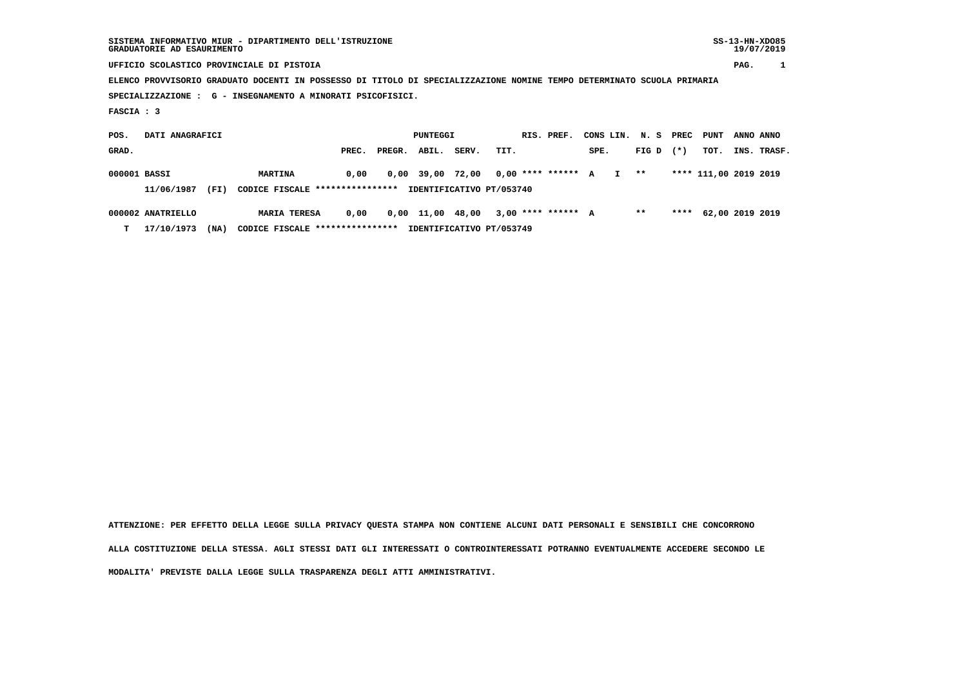| SISTEMA INFORMATIVO MIUR - DIPARTIMENTO DELL'ISTRUZIONE<br>GRADUATORIE AD ESAURIMENTO                                  |                                           | $SS-13-HN-XDO85$<br>19/07/2019                   |
|------------------------------------------------------------------------------------------------------------------------|-------------------------------------------|--------------------------------------------------|
| UFFICIO SCOLASTICO PROVINCIALE DI PISTOIA                                                                              |                                           | PAG.                                             |
| ELENCO PROVVISORIO GRADUATO DOCENTI IN POSSESSO DI TITOLO DI SPECIALIZZAZIONE NOMINE TEMPO DETERMINATO SCUOLA PRIMARIA |                                           |                                                  |
| SPECIALIZZAZIONE : G - INSEGNAMENTO A MINORATI PSICOFISICI.                                                            |                                           |                                                  |
| FASCIA : 3                                                                                                             |                                           |                                                  |
| DATI ANAGRAFICI<br>POS.                                                                                                | PUNTEGGI<br>RIS. PREF.                    | CONS LIN.<br>N. S<br>PREC<br>PUNT<br>ANNO ANNO   |
| GRAD.                                                                                                                  | PREC.<br>ABIL.<br>SERV.<br>TIT.<br>PREGR. | $(*)$<br>TOT.<br>INS.<br>SPE.<br>FIG D<br>TRASF. |

 **000001 BASSI MARTINA 0,00 0,00 39,00 72,00 0,00 \*\*\*\* \*\*\*\*\*\* A I \*\* \*\*\*\* 111,00 2019 2019 11/06/1987 (FI) CODICE FISCALE \*\*\*\*\*\*\*\*\*\*\*\*\*\*\*\* IDENTIFICATIVO PT/053740**

 **000002 ANATRIELLO MARIA TERESA 0,00 0,00 11,00 48,00 3,00 \*\*\*\* \*\*\*\*\*\* A \*\* \*\*\*\* 62,00 2019 2019 T 17/10/1973 (NA) CODICE FISCALE \*\*\*\*\*\*\*\*\*\*\*\*\*\*\*\* IDENTIFICATIVO PT/053749**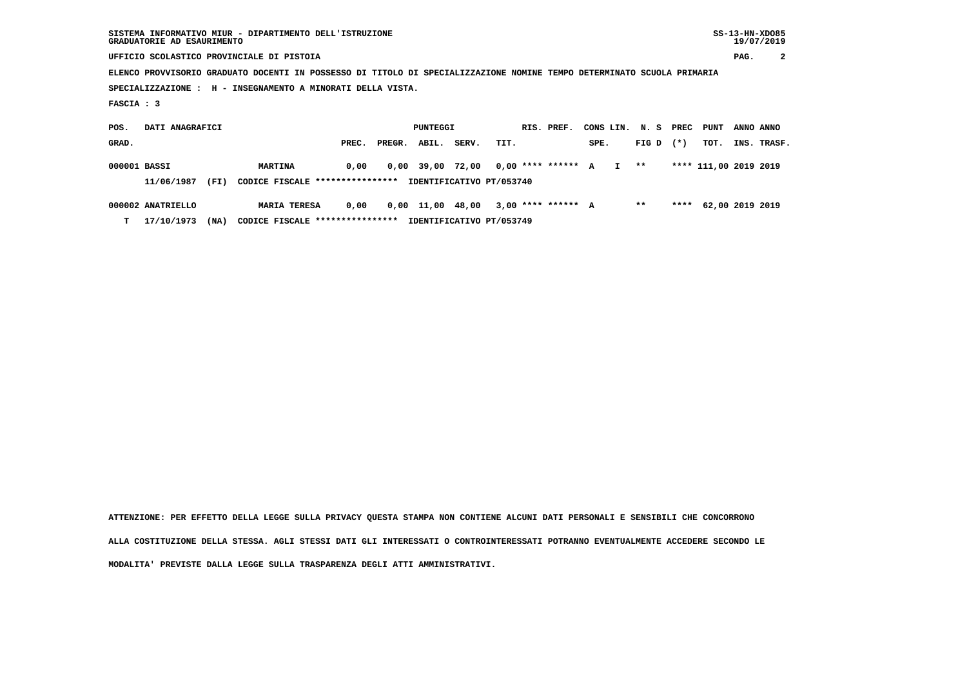| SISTEMA INFORMATIVO MIUR - DIPARTIMENTO DELL'ISTRUZIONE | $SS-13-HN-XDO85$ |
|---------------------------------------------------------|------------------|
| GRADUATORIE AD ESAURIMENTO                              | 19/07/2019       |

 **UFFICIO SCOLASTICO PROVINCIALE DI PISTOIA PAG. 2**

 **ELENCO PROVVISORIO GRADUATO DOCENTI IN POSSESSO DI TITOLO DI SPECIALIZZAZIONE NOMINE TEMPO DETERMINATO SCUOLA PRIMARIA**

 **SPECIALIZZAZIONE : H - INSEGNAMENTO A MINORATI DELLA VISTA.**

 **FASCIA : 3**

 **POS. DATI ANAGRAFICI PUNTEGGI RIS. PREF. CONS LIN. N. S PREC PUNT ANNO ANNOGRAD. PREC. PREGR. ABIL. SERV. TIT.** SPE. FIG D (\*) TOT. INS. TRASF.  **000001 BASSI MARTINA 0,00 0,00 39,00 72,00 0,00 \*\*\*\* \*\*\*\*\*\* A I \*\* \*\*\*\* 111,00 2019 2019 11/06/1987 (FI) CODICE FISCALE \*\*\*\*\*\*\*\*\*\*\*\*\*\*\*\* IDENTIFICATIVO PT/053740 000002 ANATRIELLO MARIA TERESA 0,00 0,00 11,00 48,00 3,00 \*\*\*\* \*\*\*\*\*\* A \*\* \*\*\*\* 62,00 2019 2019**

 **T 17/10/1973 (NA) CODICE FISCALE \*\*\*\*\*\*\*\*\*\*\*\*\*\*\*\* IDENTIFICATIVO PT/053749**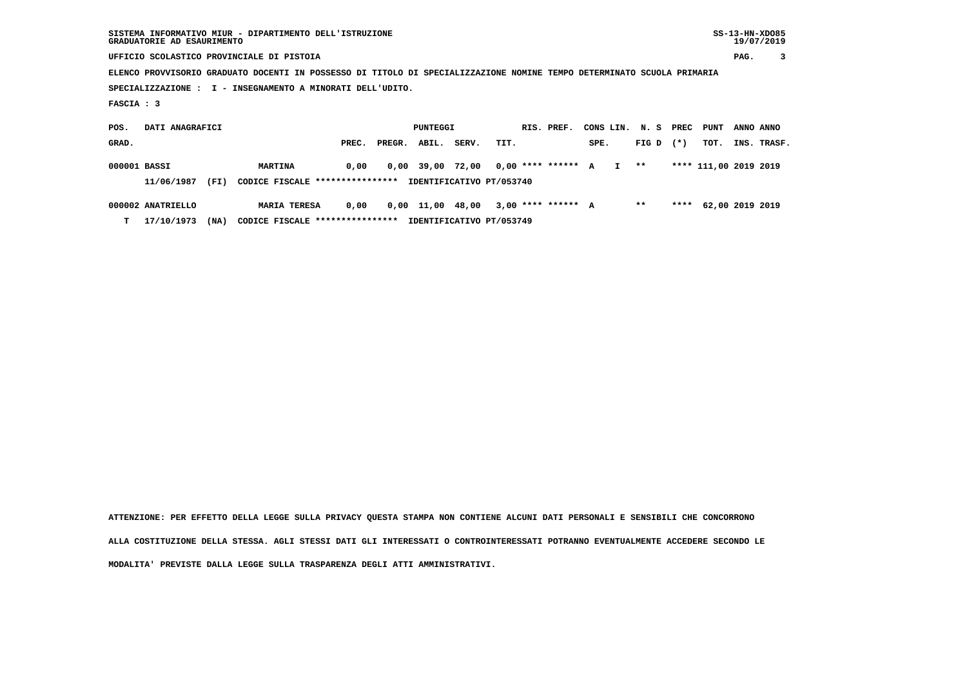| SISTEMA INFORMATIVO MIUR - DIPARTIMENTO DELL'ISTRUZIONE | $SS-13-HN-XDO85$ |
|---------------------------------------------------------|------------------|
| GRADUATORIE AD ESAURIMENTO                              | 19/07/2019       |

 **UFFICIO SCOLASTICO PROVINCIALE DI PISTOIA PAG. 3**

 **ELENCO PROVVISORIO GRADUATO DOCENTI IN POSSESSO DI TITOLO DI SPECIALIZZAZIONE NOMINE TEMPO DETERMINATO SCUOLA PRIMARIA**

 **SPECIALIZZAZIONE : I - INSEGNAMENTO A MINORATI DELL'UDITO.**

 **FASCIA : 3**

 **POS. DATI ANAGRAFICI PUNTEGGI RIS. PREF. CONS LIN. N. S PREC PUNT ANNO ANNOGRAD. PREC. PREGR. ABIL. SERV. TIT.** SPE. FIG D (\*) TOT. INS. TRASF.  **000001 BASSI MARTINA 0,00 0,00 39,00 72,00 0,00 \*\*\*\* \*\*\*\*\*\* A I \*\* \*\*\*\* 111,00 2019 2019 11/06/1987 (FI) CODICE FISCALE \*\*\*\*\*\*\*\*\*\*\*\*\*\*\*\* IDENTIFICATIVO PT/053740 000002 ANATRIELLO MARIA TERESA 0,00 0,00 11,00 48,00 3,00 \*\*\*\* \*\*\*\*\*\* A \*\* \*\*\*\* 62,00 2019 2019**

 **T 17/10/1973 (NA) CODICE FISCALE \*\*\*\*\*\*\*\*\*\*\*\*\*\*\*\* IDENTIFICATIVO PT/053749**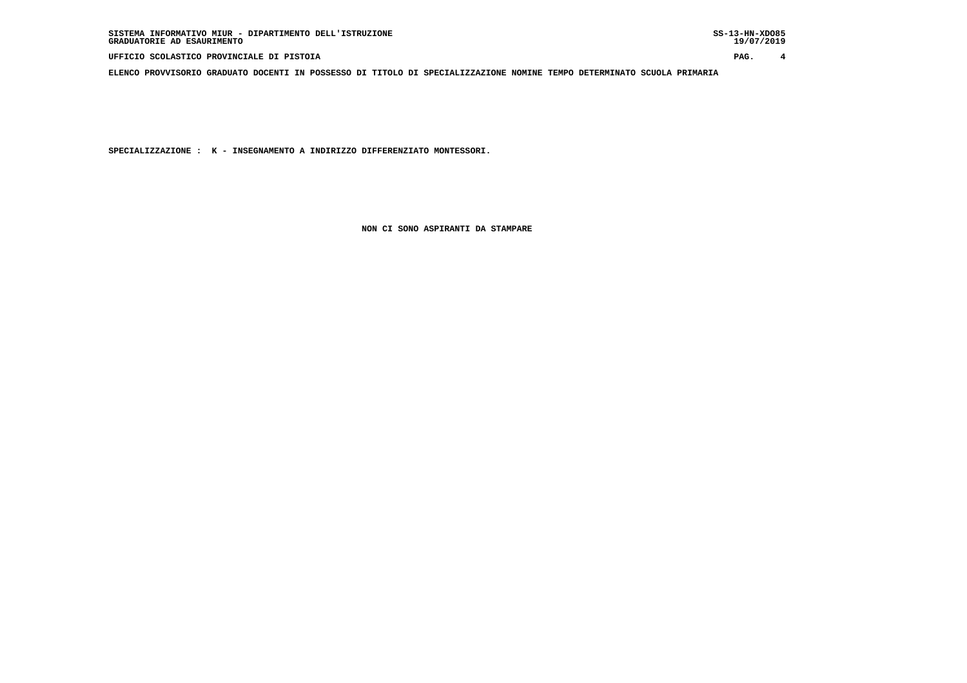**UFFICIO SCOLASTICO PROVINCIALE DI PISTOIA PAG. 4**

 **ELENCO PROVVISORIO GRADUATO DOCENTI IN POSSESSO DI TITOLO DI SPECIALIZZAZIONE NOMINE TEMPO DETERMINATO SCUOLA PRIMARIA**

 **SPECIALIZZAZIONE : K - INSEGNAMENTO A INDIRIZZO DIFFERENZIATO MONTESSORI.**

 **NON CI SONO ASPIRANTI DA STAMPARE**